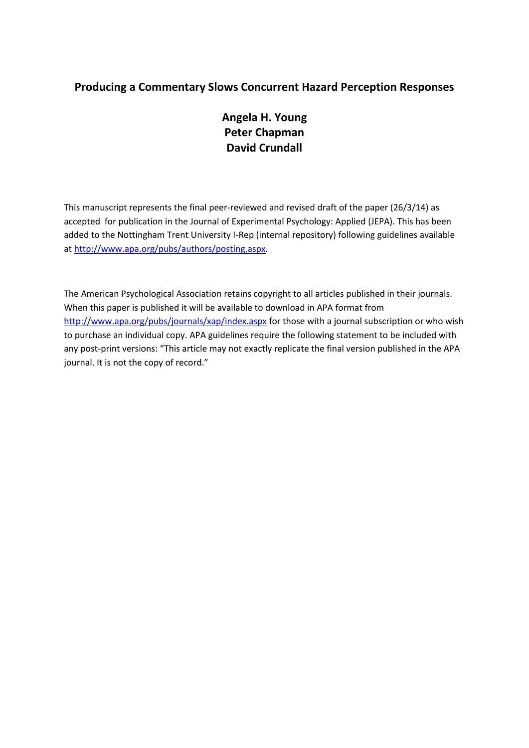## **Producing a Commentary Slows Concurrent Hazard Perception Responses**

# **Angela H. Young Peter Chapman David Crundall**

This manuscript represents the final peer-reviewed and revised draft of the paper (26/3/14) as accepted for publication in the Journal of Experimental Psychology: Applied (JEPA). This has been added to the Nottingham Trent University I-Rep (internal repository) following guidelines available a[t http://www.apa.org/pubs/authors/posting.aspx.](http://www.apa.org/pubs/authors/posting.aspx)

The American Psychological Association retains copyright to all articles published in their journals. When this paper is published it will be available to download in APA format from <http://www.apa.org/pubs/journals/xap/index.aspx> for those with a journal subscription or who wish to purchase an individual copy. APA guidelines require the following statement to be included with any post-print versions: "This article may not exactly replicate the final version published in the APA journal. It is not the copy of record."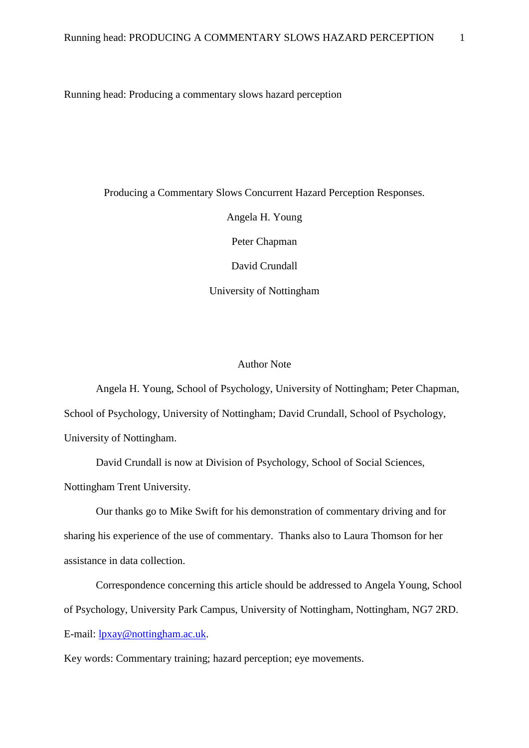Running head: Producing a commentary slows hazard perception

Producing a Commentary Slows Concurrent Hazard Perception Responses. Angela H. Young Peter Chapman David Crundall University of Nottingham

## Author Note

Angela H. Young, School of Psychology, University of Nottingham; Peter Chapman, School of Psychology, University of Nottingham; David Crundall, School of Psychology, University of Nottingham.

David Crundall is now at Division of Psychology, School of Social Sciences, Nottingham Trent University.

Our thanks go to Mike Swift for his demonstration of commentary driving and for sharing his experience of the use of commentary. Thanks also to Laura Thomson for her assistance in data collection.

Correspondence concerning this article should be addressed to Angela Young, School of Psychology, University Park Campus, University of Nottingham, Nottingham, NG7 2RD. E-mail: [lpxay@nottingham.ac.uk.](mailto:lpxay@nottingham.ac.uk)

Key words: Commentary training; hazard perception; eye movements.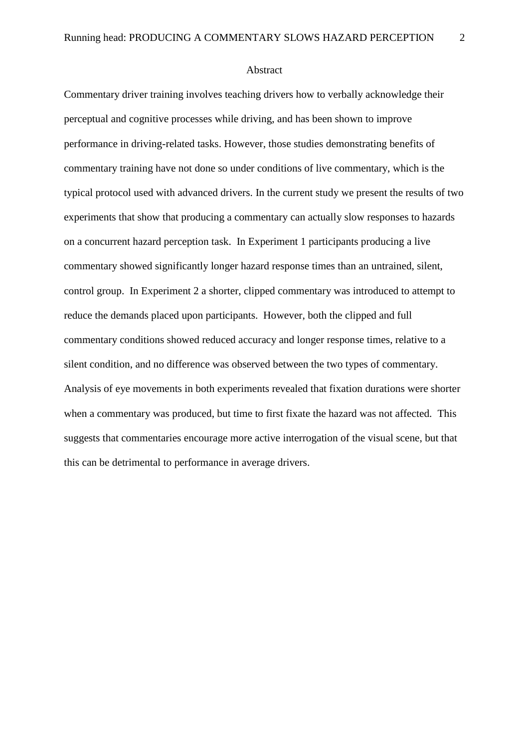Abstract

Commentary driver training involves teaching drivers how to verbally acknowledge their perceptual and cognitive processes while driving, and has been shown to improve performance in driving-related tasks. However, those studies demonstrating benefits of commentary training have not done so under conditions of live commentary, which is the typical protocol used with advanced drivers. In the current study we present the results of two experiments that show that producing a commentary can actually slow responses to hazards on a concurrent hazard perception task. In Experiment 1 participants producing a live commentary showed significantly longer hazard response times than an untrained, silent, control group. In Experiment 2 a shorter, clipped commentary was introduced to attempt to reduce the demands placed upon participants. However, both the clipped and full commentary conditions showed reduced accuracy and longer response times, relative to a silent condition, and no difference was observed between the two types of commentary. Analysis of eye movements in both experiments revealed that fixation durations were shorter when a commentary was produced, but time to first fixate the hazard was not affected. This suggests that commentaries encourage more active interrogation of the visual scene, but that this can be detrimental to performance in average drivers.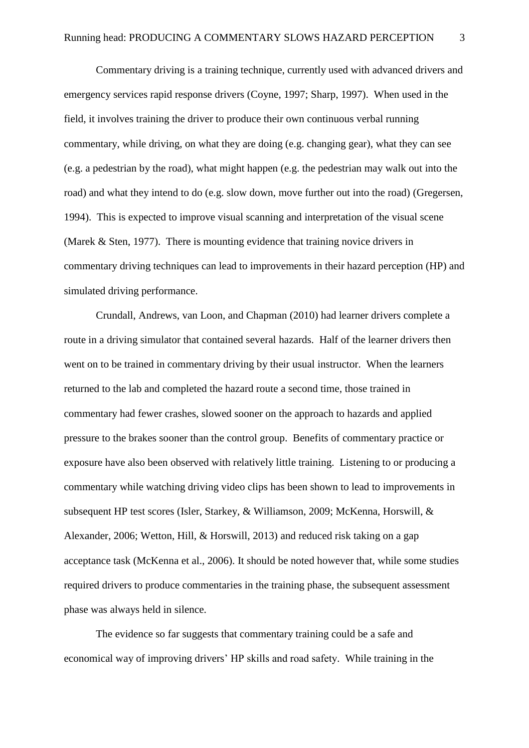Commentary driving is a training technique, currently used with advanced drivers and emergency services rapid response drivers (Coyne, 1997; Sharp, 1997). When used in the field, it involves training the driver to produce their own continuous verbal running commentary, while driving, on what they are doing (e.g. changing gear), what they can see (e.g. a pedestrian by the road), what might happen (e.g. the pedestrian may walk out into the road) and what they intend to do (e.g. slow down, move further out into the road) (Gregersen, 1994). This is expected to improve visual scanning and interpretation of the visual scene (Marek & Sten, 1977). There is mounting evidence that training novice drivers in commentary driving techniques can lead to improvements in their hazard perception (HP) and simulated driving performance.

Crundall, Andrews, van Loon, and Chapman (2010) had learner drivers complete a route in a driving simulator that contained several hazards. Half of the learner drivers then went on to be trained in commentary driving by their usual instructor. When the learners returned to the lab and completed the hazard route a second time, those trained in commentary had fewer crashes, slowed sooner on the approach to hazards and applied pressure to the brakes sooner than the control group. Benefits of commentary practice or exposure have also been observed with relatively little training. Listening to or producing a commentary while watching driving video clips has been shown to lead to improvements in subsequent HP test scores (Isler, Starkey, & Williamson, 2009; McKenna, Horswill, & Alexander, 2006; Wetton, Hill, & Horswill, 2013) and reduced risk taking on a gap acceptance task (McKenna et al., 2006). It should be noted however that, while some studies required drivers to produce commentaries in the training phase, the subsequent assessment phase was always held in silence.

The evidence so far suggests that commentary training could be a safe and economical way of improving drivers' HP skills and road safety. While training in the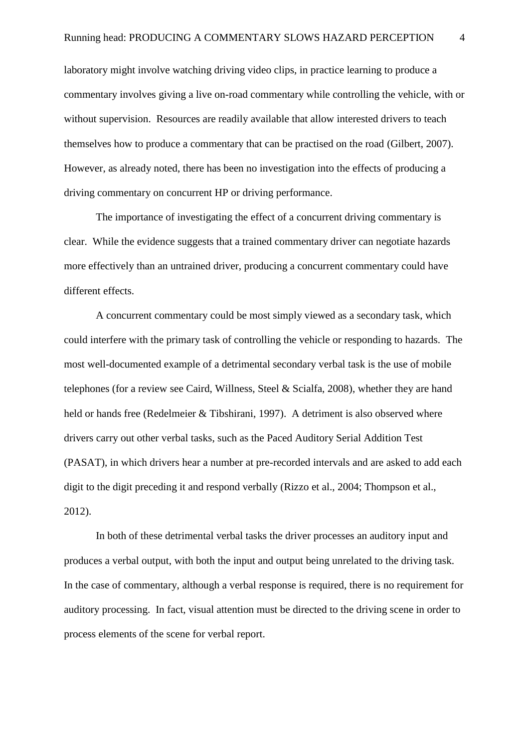laboratory might involve watching driving video clips, in practice learning to produce a commentary involves giving a live on-road commentary while controlling the vehicle, with or without supervision. Resources are readily available that allow interested drivers to teach themselves how to produce a commentary that can be practised on the road (Gilbert, 2007). However, as already noted, there has been no investigation into the effects of producing a driving commentary on concurrent HP or driving performance.

The importance of investigating the effect of a concurrent driving commentary is clear. While the evidence suggests that a trained commentary driver can negotiate hazards more effectively than an untrained driver, producing a concurrent commentary could have different effects.

A concurrent commentary could be most simply viewed as a secondary task, which could interfere with the primary task of controlling the vehicle or responding to hazards. The most well-documented example of a detrimental secondary verbal task is the use of mobile telephones (for a review see Caird, Willness, Steel & Scialfa, 2008), whether they are hand held or hands free (Redelmeier & Tibshirani, 1997). A detriment is also observed where drivers carry out other verbal tasks, such as the Paced Auditory Serial Addition Test (PASAT), in which drivers hear a number at pre-recorded intervals and are asked to add each digit to the digit preceding it and respond verbally (Rizzo et al., 2004; Thompson et al., 2012).

In both of these detrimental verbal tasks the driver processes an auditory input and produces a verbal output, with both the input and output being unrelated to the driving task. In the case of commentary, although a verbal response is required, there is no requirement for auditory processing. In fact, visual attention must be directed to the driving scene in order to process elements of the scene for verbal report.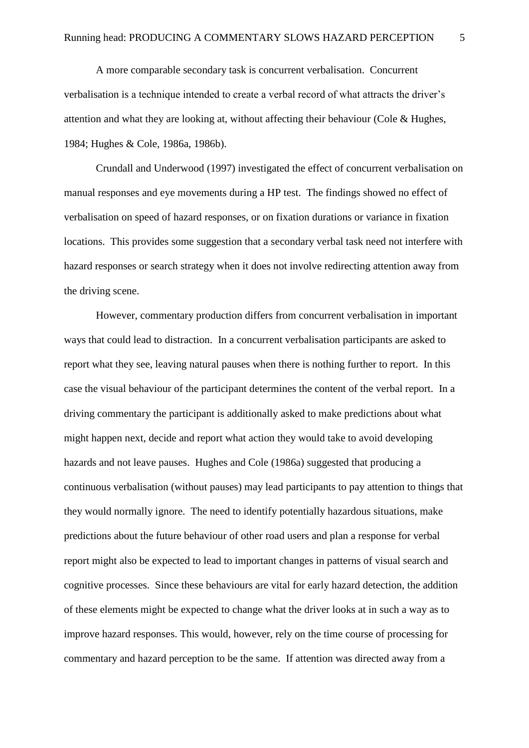A more comparable secondary task is concurrent verbalisation. Concurrent verbalisation is a technique intended to create a verbal record of what attracts the driver's attention and what they are looking at, without affecting their behaviour (Cole & Hughes, 1984; Hughes & Cole, 1986a, 1986b).

Crundall and Underwood (1997) investigated the effect of concurrent verbalisation on manual responses and eye movements during a HP test. The findings showed no effect of verbalisation on speed of hazard responses, or on fixation durations or variance in fixation locations. This provides some suggestion that a secondary verbal task need not interfere with hazard responses or search strategy when it does not involve redirecting attention away from the driving scene.

However, commentary production differs from concurrent verbalisation in important ways that could lead to distraction. In a concurrent verbalisation participants are asked to report what they see, leaving natural pauses when there is nothing further to report. In this case the visual behaviour of the participant determines the content of the verbal report. In a driving commentary the participant is additionally asked to make predictions about what might happen next, decide and report what action they would take to avoid developing hazards and not leave pauses. Hughes and Cole (1986a) suggested that producing a continuous verbalisation (without pauses) may lead participants to pay attention to things that they would normally ignore. The need to identify potentially hazardous situations, make predictions about the future behaviour of other road users and plan a response for verbal report might also be expected to lead to important changes in patterns of visual search and cognitive processes. Since these behaviours are vital for early hazard detection, the addition of these elements might be expected to change what the driver looks at in such a way as to improve hazard responses. This would, however, rely on the time course of processing for commentary and hazard perception to be the same. If attention was directed away from a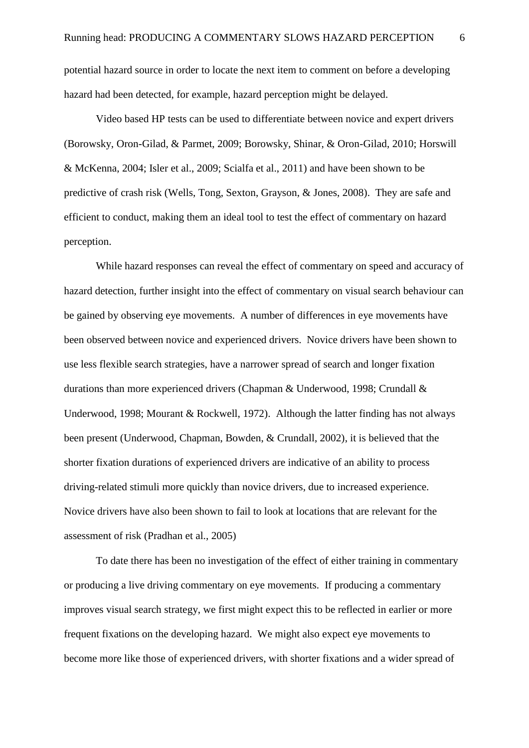potential hazard source in order to locate the next item to comment on before a developing hazard had been detected, for example, hazard perception might be delayed.

Video based HP tests can be used to differentiate between novice and expert drivers (Borowsky, Oron-Gilad, & Parmet, 2009; Borowsky, Shinar, & Oron-Gilad, 2010; Horswill & McKenna, 2004; Isler et al., 2009; Scialfa et al., 2011) and have been shown to be predictive of crash risk (Wells, Tong, Sexton, Grayson, & Jones, 2008). They are safe and efficient to conduct, making them an ideal tool to test the effect of commentary on hazard perception.

While hazard responses can reveal the effect of commentary on speed and accuracy of hazard detection, further insight into the effect of commentary on visual search behaviour can be gained by observing eye movements. A number of differences in eye movements have been observed between novice and experienced drivers. Novice drivers have been shown to use less flexible search strategies, have a narrower spread of search and longer fixation durations than more experienced drivers (Chapman & Underwood, 1998; Crundall & Underwood, 1998; Mourant & Rockwell, 1972). Although the latter finding has not always been present (Underwood, Chapman, Bowden, & Crundall, 2002), it is believed that the shorter fixation durations of experienced drivers are indicative of an ability to process driving-related stimuli more quickly than novice drivers, due to increased experience. Novice drivers have also been shown to fail to look at locations that are relevant for the assessment of risk (Pradhan et al., 2005)

To date there has been no investigation of the effect of either training in commentary or producing a live driving commentary on eye movements. If producing a commentary improves visual search strategy, we first might expect this to be reflected in earlier or more frequent fixations on the developing hazard. We might also expect eye movements to become more like those of experienced drivers, with shorter fixations and a wider spread of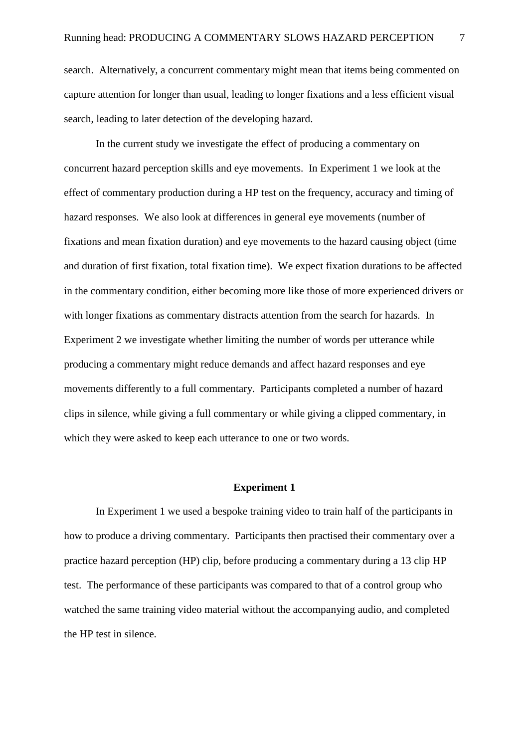search. Alternatively, a concurrent commentary might mean that items being commented on capture attention for longer than usual, leading to longer fixations and a less efficient visual search, leading to later detection of the developing hazard.

In the current study we investigate the effect of producing a commentary on concurrent hazard perception skills and eye movements. In Experiment 1 we look at the effect of commentary production during a HP test on the frequency, accuracy and timing of hazard responses. We also look at differences in general eye movements (number of fixations and mean fixation duration) and eye movements to the hazard causing object (time and duration of first fixation, total fixation time). We expect fixation durations to be affected in the commentary condition, either becoming more like those of more experienced drivers or with longer fixations as commentary distracts attention from the search for hazards. In Experiment 2 we investigate whether limiting the number of words per utterance while producing a commentary might reduce demands and affect hazard responses and eye movements differently to a full commentary. Participants completed a number of hazard clips in silence, while giving a full commentary or while giving a clipped commentary, in which they were asked to keep each utterance to one or two words.

#### **Experiment 1**

In Experiment 1 we used a bespoke training video to train half of the participants in how to produce a driving commentary. Participants then practised their commentary over a practice hazard perception (HP) clip, before producing a commentary during a 13 clip HP test. The performance of these participants was compared to that of a control group who watched the same training video material without the accompanying audio, and completed the HP test in silence.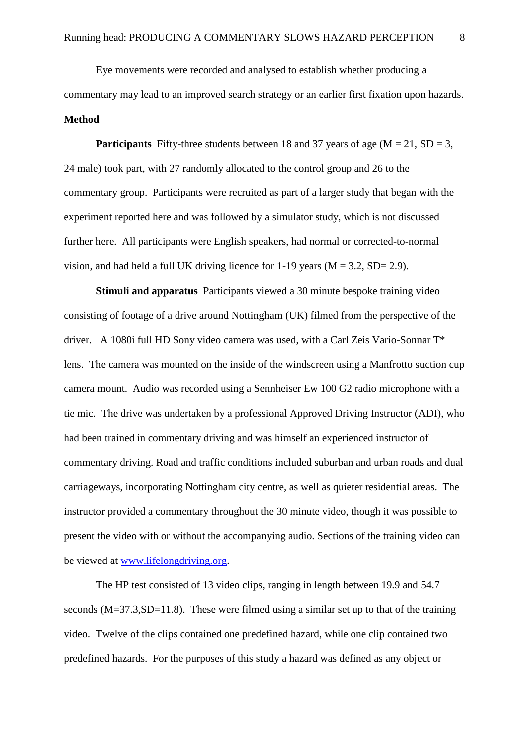Eye movements were recorded and analysed to establish whether producing a commentary may lead to an improved search strategy or an earlier first fixation upon hazards. **Method**

**Participants** Fifty-three students between 18 and 37 years of age ( $M = 21$ ,  $SD = 3$ , 24 male) took part, with 27 randomly allocated to the control group and 26 to the commentary group. Participants were recruited as part of a larger study that began with the experiment reported here and was followed by a simulator study, which is not discussed further here. All participants were English speakers, had normal or corrected-to-normal vision, and had held a full UK driving licence for  $1-19$  years ( $M = 3.2$ , SD= 2.9).

**Stimuli and apparatus** Participants viewed a 30 minute bespoke training video consisting of footage of a drive around Nottingham (UK) filmed from the perspective of the driver. A 1080i full HD Sony video camera was used, with a Carl Zeis Vario-Sonnar T\* lens. The camera was mounted on the inside of the windscreen using a Manfrotto suction cup camera mount. Audio was recorded using a Sennheiser Ew 100 G2 radio microphone with a tie mic. The drive was undertaken by a professional Approved Driving Instructor (ADI), who had been trained in commentary driving and was himself an experienced instructor of commentary driving. Road and traffic conditions included suburban and urban roads and dual carriageways, incorporating Nottingham city centre, as well as quieter residential areas. The instructor provided a commentary throughout the 30 minute video, though it was possible to present the video with or without the accompanying audio. Sections of the training video can be viewed at [www.lifelongdriving.org.](http://www.lifelongdriving.org/)

The HP test consisted of 13 video clips, ranging in length between 19.9 and 54.7 seconds (M=37.3,SD=11.8). These were filmed using a similar set up to that of the training video. Twelve of the clips contained one predefined hazard, while one clip contained two predefined hazards. For the purposes of this study a hazard was defined as any object or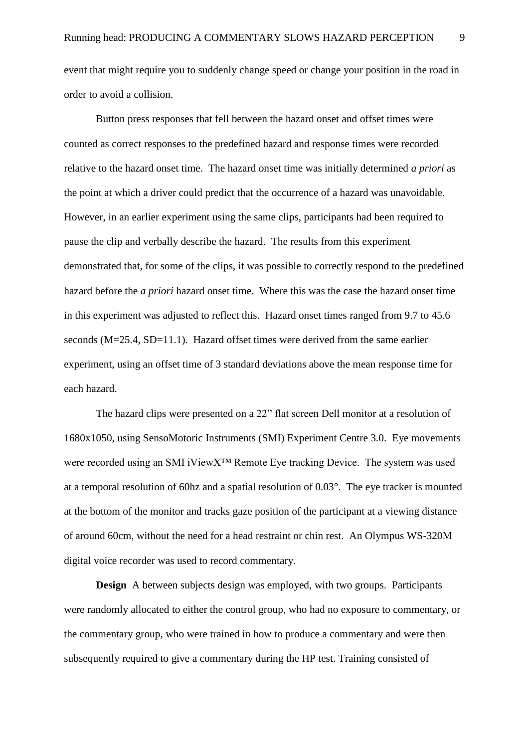event that might require you to suddenly change speed or change your position in the road in order to avoid a collision.

Button press responses that fell between the hazard onset and offset times were counted as correct responses to the predefined hazard and response times were recorded relative to the hazard onset time. The hazard onset time was initially determined *a priori* as the point at which a driver could predict that the occurrence of a hazard was unavoidable. However, in an earlier experiment using the same clips, participants had been required to pause the clip and verbally describe the hazard. The results from this experiment demonstrated that, for some of the clips, it was possible to correctly respond to the predefined hazard before the *a priori* hazard onset time. Where this was the case the hazard onset time in this experiment was adjusted to reflect this. Hazard onset times ranged from 9.7 to 45.6 seconds (M=25.4, SD=11.1). Hazard offset times were derived from the same earlier experiment, using an offset time of 3 standard deviations above the mean response time for each hazard.

The hazard clips were presented on a 22" flat screen Dell monitor at a resolution of 1680x1050, using SensoMotoric Instruments (SMI) Experiment Centre 3.0. Eye movements were recorded using an SMI iViewX™ Remote Eye tracking Device. The system was used at a temporal resolution of 60hz and a spatial resolution of 0.03°. The eye tracker is mounted at the bottom of the monitor and tracks gaze position of the participant at a viewing distance of around 60cm, without the need for a head restraint or chin rest. An Olympus WS-320M digital voice recorder was used to record commentary.

**Design** A between subjects design was employed, with two groups. Participants were randomly allocated to either the control group, who had no exposure to commentary, or the commentary group, who were trained in how to produce a commentary and were then subsequently required to give a commentary during the HP test. Training consisted of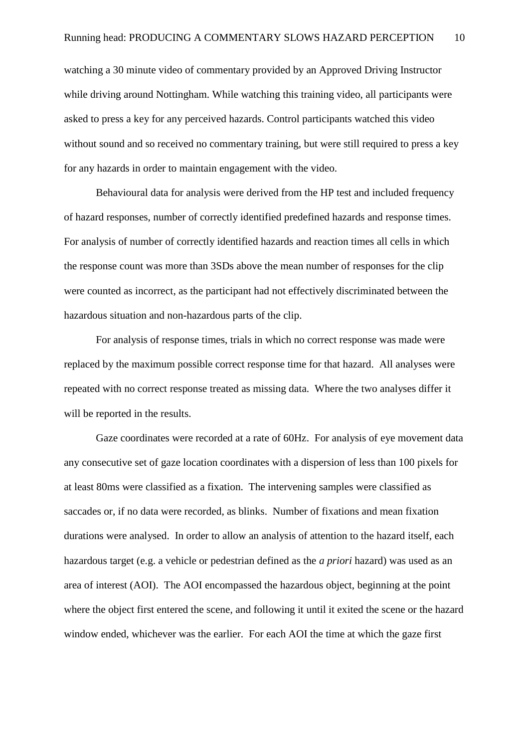watching a 30 minute video of commentary provided by an Approved Driving Instructor while driving around Nottingham. While watching this training video, all participants were asked to press a key for any perceived hazards. Control participants watched this video without sound and so received no commentary training, but were still required to press a key for any hazards in order to maintain engagement with the video.

Behavioural data for analysis were derived from the HP test and included frequency of hazard responses, number of correctly identified predefined hazards and response times. For analysis of number of correctly identified hazards and reaction times all cells in which the response count was more than 3SDs above the mean number of responses for the clip were counted as incorrect, as the participant had not effectively discriminated between the hazardous situation and non-hazardous parts of the clip.

For analysis of response times, trials in which no correct response was made were replaced by the maximum possible correct response time for that hazard. All analyses were repeated with no correct response treated as missing data. Where the two analyses differ it will be reported in the results.

Gaze coordinates were recorded at a rate of 60Hz. For analysis of eye movement data any consecutive set of gaze location coordinates with a dispersion of less than 100 pixels for at least 80ms were classified as a fixation. The intervening samples were classified as saccades or, if no data were recorded, as blinks. Number of fixations and mean fixation durations were analysed. In order to allow an analysis of attention to the hazard itself, each hazardous target (e.g. a vehicle or pedestrian defined as the *a priori* hazard) was used as an area of interest (AOI). The AOI encompassed the hazardous object, beginning at the point where the object first entered the scene, and following it until it exited the scene or the hazard window ended, whichever was the earlier. For each AOI the time at which the gaze first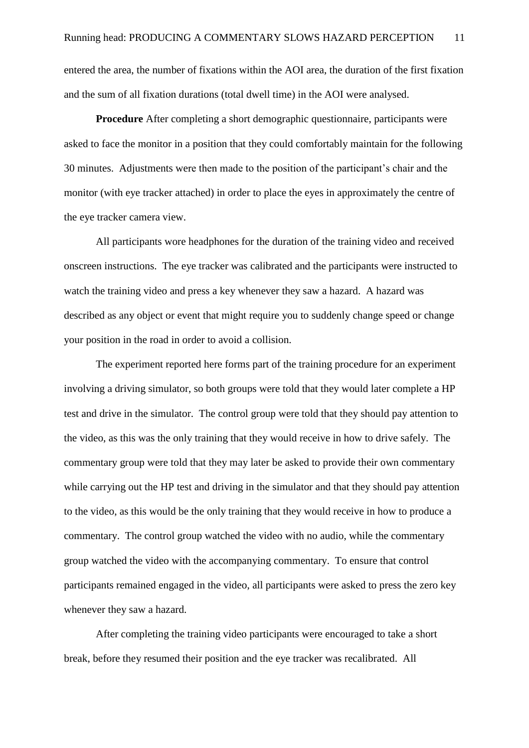entered the area, the number of fixations within the AOI area, the duration of the first fixation and the sum of all fixation durations (total dwell time) in the AOI were analysed.

**Procedure** After completing a short demographic questionnaire, participants were asked to face the monitor in a position that they could comfortably maintain for the following 30 minutes. Adjustments were then made to the position of the participant's chair and the monitor (with eye tracker attached) in order to place the eyes in approximately the centre of the eye tracker camera view.

All participants wore headphones for the duration of the training video and received onscreen instructions. The eye tracker was calibrated and the participants were instructed to watch the training video and press a key whenever they saw a hazard. A hazard was described as any object or event that might require you to suddenly change speed or change your position in the road in order to avoid a collision.

The experiment reported here forms part of the training procedure for an experiment involving a driving simulator, so both groups were told that they would later complete a HP test and drive in the simulator. The control group were told that they should pay attention to the video, as this was the only training that they would receive in how to drive safely. The commentary group were told that they may later be asked to provide their own commentary while carrying out the HP test and driving in the simulator and that they should pay attention to the video, as this would be the only training that they would receive in how to produce a commentary. The control group watched the video with no audio, while the commentary group watched the video with the accompanying commentary. To ensure that control participants remained engaged in the video, all participants were asked to press the zero key whenever they saw a hazard.

After completing the training video participants were encouraged to take a short break, before they resumed their position and the eye tracker was recalibrated. All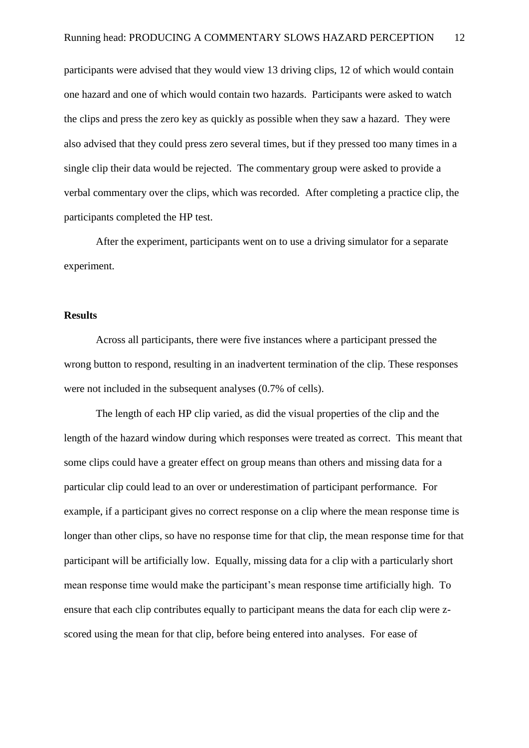participants were advised that they would view 13 driving clips, 12 of which would contain one hazard and one of which would contain two hazards. Participants were asked to watch the clips and press the zero key as quickly as possible when they saw a hazard. They were also advised that they could press zero several times, but if they pressed too many times in a single clip their data would be rejected. The commentary group were asked to provide a verbal commentary over the clips, which was recorded. After completing a practice clip, the participants completed the HP test.

After the experiment, participants went on to use a driving simulator for a separate experiment.

#### **Results**

Across all participants, there were five instances where a participant pressed the wrong button to respond, resulting in an inadvertent termination of the clip. These responses were not included in the subsequent analyses (0.7% of cells).

The length of each HP clip varied, as did the visual properties of the clip and the length of the hazard window during which responses were treated as correct. This meant that some clips could have a greater effect on group means than others and missing data for a particular clip could lead to an over or underestimation of participant performance. For example, if a participant gives no correct response on a clip where the mean response time is longer than other clips, so have no response time for that clip, the mean response time for that participant will be artificially low. Equally, missing data for a clip with a particularly short mean response time would make the participant's mean response time artificially high. To ensure that each clip contributes equally to participant means the data for each clip were zscored using the mean for that clip, before being entered into analyses. For ease of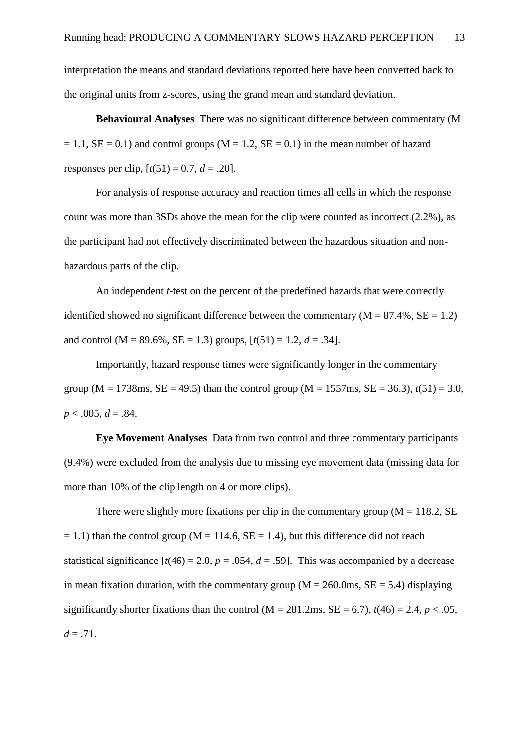interpretation the means and standard deviations reported here have been converted back to the original units from z-scores, using the grand mean and standard deviation.

**Behavioural Analyses**There was no significant difference between commentary (M  $= 1.1$ ,  $SE = 0.1$ ) and control groups (M = 1.2,  $SE = 0.1$ ) in the mean number of hazard responses per clip,  $[t(51) = 0.7, d = .20]$ .

For analysis of response accuracy and reaction times all cells in which the response count was more than 3SDs above the mean for the clip were counted as incorrect (2.2%), as the participant had not effectively discriminated between the hazardous situation and nonhazardous parts of the clip.

An independent *t*-test on the percent of the predefined hazards that were correctly identified showed no significant difference between the commentary  $(M = 87.4\%, SE = 1.2)$ and control ( $M = 89.6\%$ ,  $SE = 1.3$ ) groups,  $[t(51) = 1.2, d = .34]$ .

Importantly, hazard response times were significantly longer in the commentary group ( $M = 1738$ ms,  $SE = 49.5$ ) than the control group ( $M = 1557$ ms,  $SE = 36.3$ ),  $t(51) = 3.0$ ,  $p < .005, d = .84.$ 

**Eye Movement Analyses** Data from two control and three commentary participants (9.4%) were excluded from the analysis due to missing eye movement data (missing data for more than 10% of the clip length on 4 or more clips).

There were slightly more fixations per clip in the commentary group  $(M = 118.2, SE)$  $= 1.1$ ) than the control group (M = 114.6, SE = 1.4), but this difference did not reach statistical significance  $[t(46) = 2.0, p = .054, d = .59]$ . This was accompanied by a decrease in mean fixation duration, with the commentary group ( $M = 260.0$ ms,  $SE = 5.4$ ) displaying significantly shorter fixations than the control ( $M = 281.2 \text{ms}$ ,  $SE = 6.7$ ),  $t(46) = 2.4$ ,  $p < .05$ ,  $d = .71$ .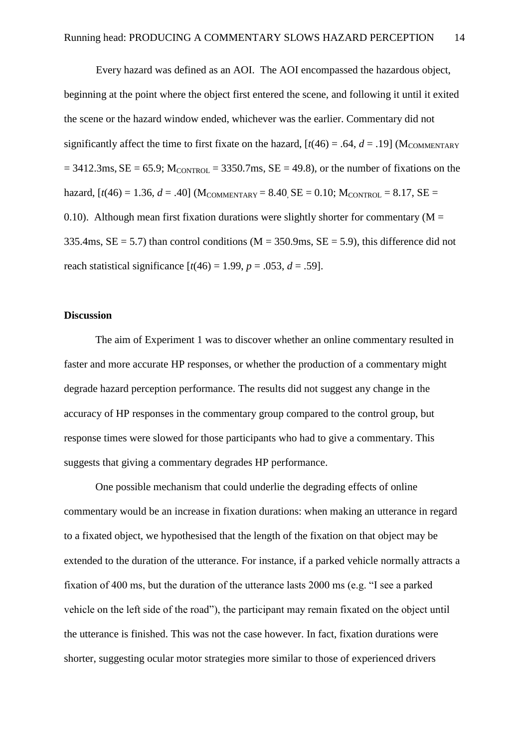Every hazard was defined as an AOI. The AOI encompassed the hazardous object, beginning at the point where the object first entered the scene, and following it until it exited the scene or the hazard window ended, whichever was the earlier. Commentary did not significantly affect the time to first fixate on the hazard,  $[t(46) = .64, d = .19]$  (M<sub>COMMENTARY</sub>)  $= 3412.3 \text{ms}, \text{SE} = 65.9$ ;  $M_{\text{CONTROL}} = 3350.7 \text{ms}, \text{SE} = 49.8$ ), or the number of fixations on the hazard,  $[t(46) = 1.36, d = .40]$  (M<sub>COMMENTARY</sub> = 8.40, SE = 0.10; M<sub>CONTROL</sub> = 8.17, SE = 0.10). Although mean first fixation durations were slightly shorter for commentary ( $M =$ 335.4ms,  $SE = 5.7$ ) than control conditions ( $M = 350.9$ ms,  $SE = 5.9$ ), this difference did not reach statistical significance  $[t(46) = 1.99, p = .053, d = .59]$ .

### **Discussion**

The aim of Experiment 1 was to discover whether an online commentary resulted in faster and more accurate HP responses, or whether the production of a commentary might degrade hazard perception performance. The results did not suggest any change in the accuracy of HP responses in the commentary group compared to the control group, but response times were slowed for those participants who had to give a commentary. This suggests that giving a commentary degrades HP performance.

One possible mechanism that could underlie the degrading effects of online commentary would be an increase in fixation durations: when making an utterance in regard to a fixated object, we hypothesised that the length of the fixation on that object may be extended to the duration of the utterance. For instance, if a parked vehicle normally attracts a fixation of 400 ms, but the duration of the utterance lasts 2000 ms (e.g. "I see a parked vehicle on the left side of the road"), the participant may remain fixated on the object until the utterance is finished. This was not the case however. In fact, fixation durations were shorter, suggesting ocular motor strategies more similar to those of experienced drivers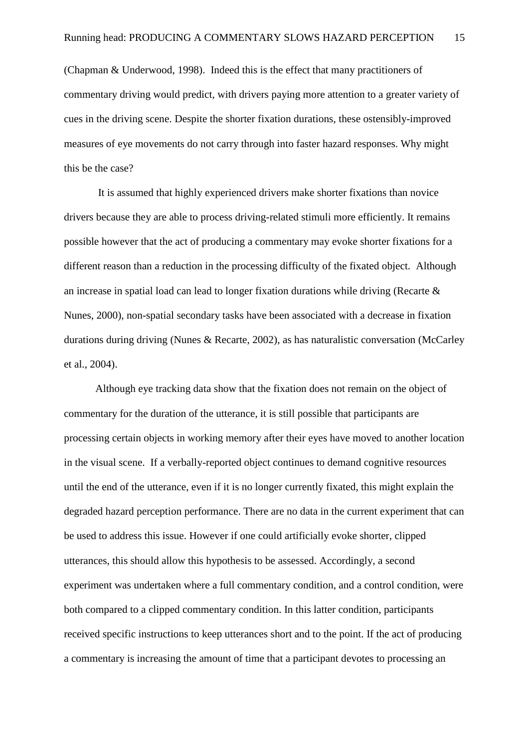(Chapman & Underwood, 1998). Indeed this is the effect that many practitioners of commentary driving would predict, with drivers paying more attention to a greater variety of cues in the driving scene. Despite the shorter fixation durations, these ostensibly-improved measures of eye movements do not carry through into faster hazard responses. Why might this be the case?

It is assumed that highly experienced drivers make shorter fixations than novice drivers because they are able to process driving-related stimuli more efficiently. It remains possible however that the act of producing a commentary may evoke shorter fixations for a different reason than a reduction in the processing difficulty of the fixated object. Although an increase in spatial load can lead to longer fixation durations while driving (Recarte & Nunes, 2000), non-spatial secondary tasks have been associated with a decrease in fixation durations during driving (Nunes & Recarte, 2002), as has naturalistic conversation (McCarley et al., 2004).

Although eye tracking data show that the fixation does not remain on the object of commentary for the duration of the utterance, it is still possible that participants are processing certain objects in working memory after their eyes have moved to another location in the visual scene. If a verbally-reported object continues to demand cognitive resources until the end of the utterance, even if it is no longer currently fixated, this might explain the degraded hazard perception performance. There are no data in the current experiment that can be used to address this issue. However if one could artificially evoke shorter, clipped utterances, this should allow this hypothesis to be assessed. Accordingly, a second experiment was undertaken where a full commentary condition, and a control condition, were both compared to a clipped commentary condition. In this latter condition, participants received specific instructions to keep utterances short and to the point. If the act of producing a commentary is increasing the amount of time that a participant devotes to processing an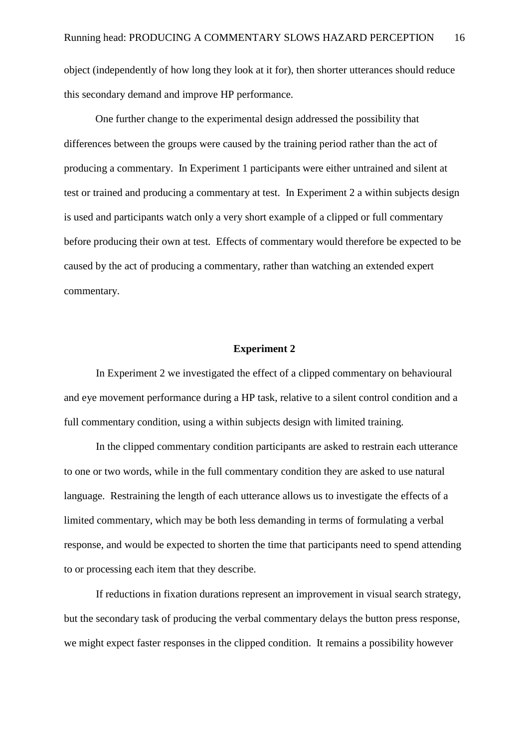object (independently of how long they look at it for), then shorter utterances should reduce this secondary demand and improve HP performance.

One further change to the experimental design addressed the possibility that differences between the groups were caused by the training period rather than the act of producing a commentary. In Experiment 1 participants were either untrained and silent at test or trained and producing a commentary at test. In Experiment 2 a within subjects design is used and participants watch only a very short example of a clipped or full commentary before producing their own at test. Effects of commentary would therefore be expected to be caused by the act of producing a commentary, rather than watching an extended expert commentary.

#### **Experiment 2**

In Experiment 2 we investigated the effect of a clipped commentary on behavioural and eye movement performance during a HP task, relative to a silent control condition and a full commentary condition, using a within subjects design with limited training.

In the clipped commentary condition participants are asked to restrain each utterance to one or two words, while in the full commentary condition they are asked to use natural language. Restraining the length of each utterance allows us to investigate the effects of a limited commentary, which may be both less demanding in terms of formulating a verbal response, and would be expected to shorten the time that participants need to spend attending to or processing each item that they describe.

If reductions in fixation durations represent an improvement in visual search strategy, but the secondary task of producing the verbal commentary delays the button press response, we might expect faster responses in the clipped condition. It remains a possibility however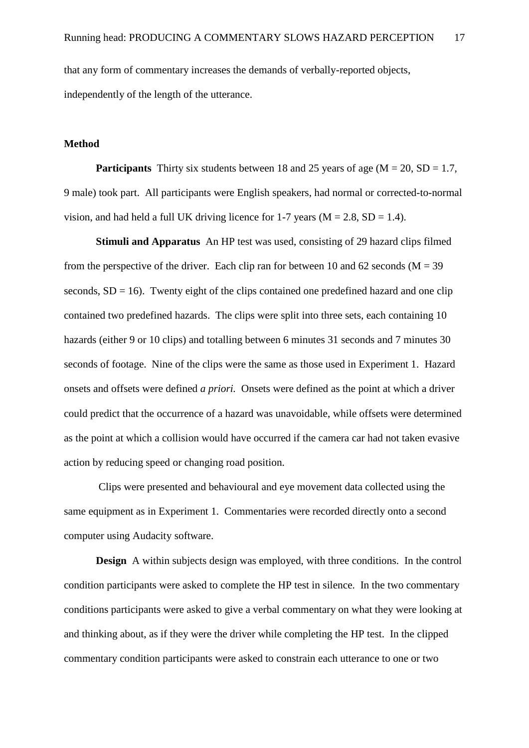that any form of commentary increases the demands of verbally-reported objects, independently of the length of the utterance.

### **Method**

**Participants** Thirty six students between 18 and 25 years of age ( $M = 20$ ,  $SD = 1.7$ , 9 male) took part. All participants were English speakers, had normal or corrected-to-normal vision, and had held a full UK driving licence for 1-7 years  $(M = 2.8, SD = 1.4)$ .

**Stimuli and Apparatus** An HP test was used, consisting of 29 hazard clips filmed from the perspective of the driver. Each clip ran for between 10 and 62 seconds ( $M = 39$ ) seconds,  $SD = 16$ ). Twenty eight of the clips contained one predefined hazard and one clip contained two predefined hazards. The clips were split into three sets, each containing 10 hazards (either 9 or 10 clips) and totalling between 6 minutes 31 seconds and 7 minutes 30 seconds of footage. Nine of the clips were the same as those used in Experiment 1. Hazard onsets and offsets were defined *a priori.* Onsets were defined as the point at which a driver could predict that the occurrence of a hazard was unavoidable, while offsets were determined as the point at which a collision would have occurred if the camera car had not taken evasive action by reducing speed or changing road position.

Clips were presented and behavioural and eye movement data collected using the same equipment as in Experiment 1. Commentaries were recorded directly onto a second computer using Audacity software.

**Design** A within subjects design was employed, with three conditions. In the control condition participants were asked to complete the HP test in silence. In the two commentary conditions participants were asked to give a verbal commentary on what they were looking at and thinking about, as if they were the driver while completing the HP test. In the clipped commentary condition participants were asked to constrain each utterance to one or two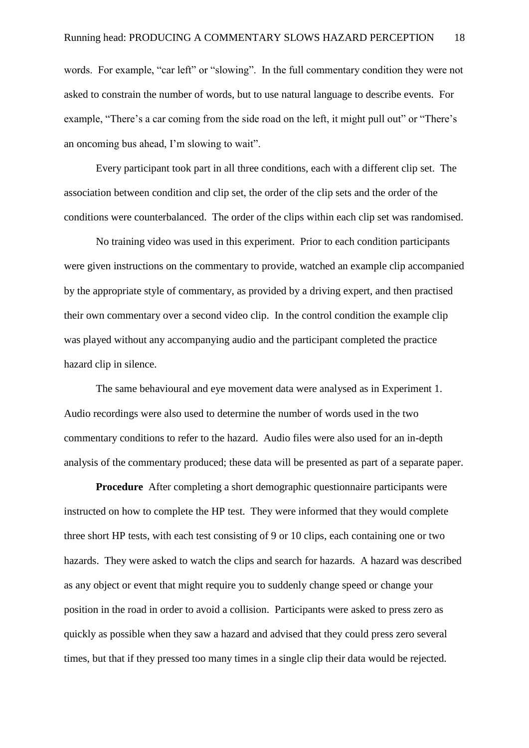words. For example, "car left" or "slowing". In the full commentary condition they were not asked to constrain the number of words, but to use natural language to describe events. For example, "There's a car coming from the side road on the left, it might pull out" or "There's an oncoming bus ahead, I'm slowing to wait".

Every participant took part in all three conditions, each with a different clip set. The association between condition and clip set, the order of the clip sets and the order of the conditions were counterbalanced. The order of the clips within each clip set was randomised.

No training video was used in this experiment. Prior to each condition participants were given instructions on the commentary to provide, watched an example clip accompanied by the appropriate style of commentary, as provided by a driving expert, and then practised their own commentary over a second video clip. In the control condition the example clip was played without any accompanying audio and the participant completed the practice hazard clip in silence.

The same behavioural and eye movement data were analysed as in Experiment 1. Audio recordings were also used to determine the number of words used in the two commentary conditions to refer to the hazard. Audio files were also used for an in-depth analysis of the commentary produced; these data will be presented as part of a separate paper.

**Procedure** After completing a short demographic questionnaire participants were instructed on how to complete the HP test. They were informed that they would complete three short HP tests, with each test consisting of 9 or 10 clips, each containing one or two hazards. They were asked to watch the clips and search for hazards. A hazard was described as any object or event that might require you to suddenly change speed or change your position in the road in order to avoid a collision. Participants were asked to press zero as quickly as possible when they saw a hazard and advised that they could press zero several times, but that if they pressed too many times in a single clip their data would be rejected.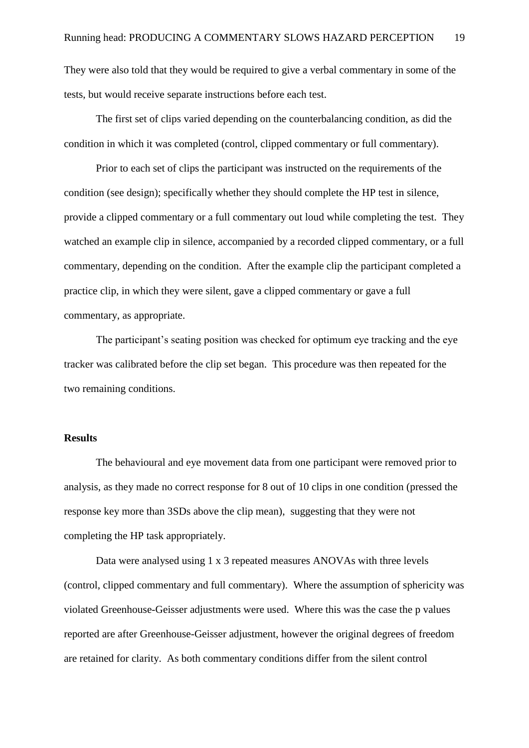They were also told that they would be required to give a verbal commentary in some of the tests, but would receive separate instructions before each test.

The first set of clips varied depending on the counterbalancing condition, as did the condition in which it was completed (control, clipped commentary or full commentary).

Prior to each set of clips the participant was instructed on the requirements of the condition (see design); specifically whether they should complete the HP test in silence, provide a clipped commentary or a full commentary out loud while completing the test. They watched an example clip in silence, accompanied by a recorded clipped commentary, or a full commentary, depending on the condition. After the example clip the participant completed a practice clip, in which they were silent, gave a clipped commentary or gave a full commentary, as appropriate.

The participant's seating position was checked for optimum eye tracking and the eye tracker was calibrated before the clip set began. This procedure was then repeated for the two remaining conditions.

#### **Results**

The behavioural and eye movement data from one participant were removed prior to analysis, as they made no correct response for 8 out of 10 clips in one condition (pressed the response key more than 3SDs above the clip mean), suggesting that they were not completing the HP task appropriately.

Data were analysed using 1 x 3 repeated measures ANOVAs with three levels (control, clipped commentary and full commentary). Where the assumption of sphericity was violated Greenhouse-Geisser adjustments were used. Where this was the case the p values reported are after Greenhouse-Geisser adjustment, however the original degrees of freedom are retained for clarity. As both commentary conditions differ from the silent control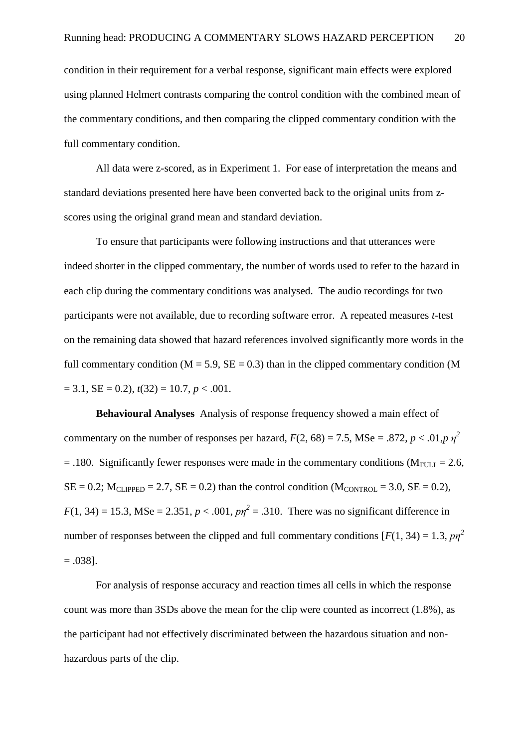condition in their requirement for a verbal response, significant main effects were explored using planned Helmert contrasts comparing the control condition with the combined mean of the commentary conditions, and then comparing the clipped commentary condition with the full commentary condition.

All data were z-scored, as in Experiment 1. For ease of interpretation the means and standard deviations presented here have been converted back to the original units from zscores using the original grand mean and standard deviation.

To ensure that participants were following instructions and that utterances were indeed shorter in the clipped commentary, the number of words used to refer to the hazard in each clip during the commentary conditions was analysed. The audio recordings for two participants were not available, due to recording software error. A repeated measures *t*-test on the remaining data showed that hazard references involved significantly more words in the full commentary condition ( $M = 5.9$ ,  $SE = 0.3$ ) than in the clipped commentary condition (M  $= 3.1$ ,  $SE = 0.2$ ),  $t(32) = 10.7$ ,  $p < .001$ .

**Behavioural Analyses** Analysis of response frequency showed a main effect of commentary on the number of responses per hazard,  $F(2, 68) = 7.5$ , MSe = .872,  $p < .01$ ,  $p \eta^2$  $= .180$ . Significantly fewer responses were made in the commentary conditions (M<sub>FULL</sub> = 2.6,  $SE = 0.2$ ;  $M_{CLIPPED} = 2.7$ ,  $SE = 0.2$ ) than the control condition  $(M_{CONTROL} = 3.0, SE = 0.2)$ ,  $F(1, 34) = 15.3$ , MSe = 2.351,  $p < .001$ ,  $p\eta^2 = .310$ . There was no significant difference in number of responses between the clipped and full commentary conditions  $[F(1, 34) = 1.3, p\eta^2]$  $=.038$ ].

For analysis of response accuracy and reaction times all cells in which the response count was more than 3SDs above the mean for the clip were counted as incorrect (1.8%), as the participant had not effectively discriminated between the hazardous situation and nonhazardous parts of the clip.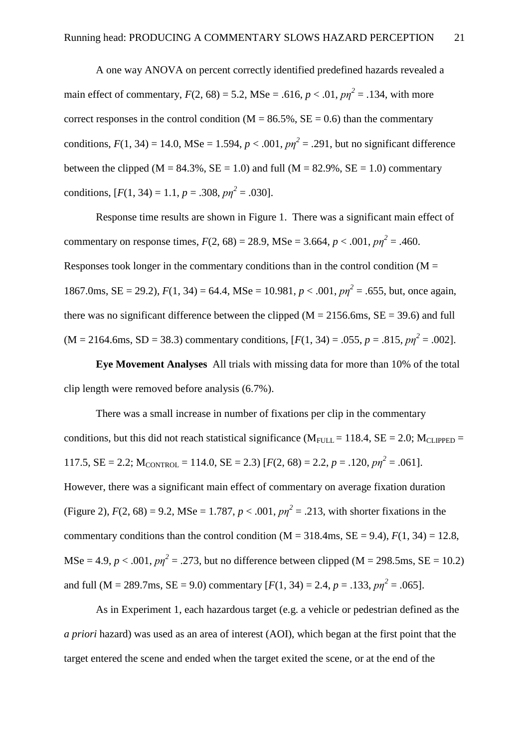A one way ANOVA on percent correctly identified predefined hazards revealed a main effect of commentary,  $F(2, 68) = 5.2$ , MSe = .616,  $p < .01$ ,  $p\eta^2 = .134$ , with more correct responses in the control condition ( $M = 86.5\%$ ,  $SE = 0.6$ ) than the commentary conditions,  $F(1, 34) = 14.0$ , MSe = 1.594,  $p < .001$ ,  $p\eta^2 = .291$ , but no significant difference between the clipped ( $M = 84.3\%$ ,  $SE = 1.0$ ) and full ( $M = 82.9\%$ ,  $SE = 1.0$ ) commentary conditions,  $[F(1, 34) = 1.1, p = .308, pp^2 = .030]$ .

Response time results are shown in Figure 1. There was a significant main effect of commentary on response times,  $F(2, 68) = 28.9$ , MSe = 3.664,  $p < .001$ ,  $p\eta^2 = .460$ . Responses took longer in the commentary conditions than in the control condition ( $M =$ 1867.0ms, SE = 29.2),  $F(1, 34) = 64.4$ , MSe = 10.981,  $p < .001$ ,  $p\eta^2 = .655$ , but, once again, there was no significant difference between the clipped ( $M = 2156.6$ ms,  $SE = 39.6$ ) and full  $(M = 2164.6 \text{ms}, SD = 38.3)$  commentary conditions,  $[F(1, 34) = .055, p = .815, p\eta^2 = .002]$ .

**Eye Movement Analyses** All trials with missing data for more than 10% of the total clip length were removed before analysis (6.7%).

There was a small increase in number of fixations per clip in the commentary conditions, but this did not reach statistical significance ( $M_{\text{FULL}} = 118.4$ ,  $SE = 2.0$ ;  $M_{CLIPPED} =$ 117.5,  $SE = 2.2$ ;  $M_{CONTROL} = 114.0$ ,  $SE = 2.3$ )  $[F(2, 68) = 2.2, p = .120, pp<sup>2</sup> = .061]$ . However, there was a significant main effect of commentary on average fixation duration (Figure 2),  $F(2, 68) = 9.2$ , MSe = 1.787,  $p < .001$ ,  $p\eta^2 = .213$ , with shorter fixations in the commentary conditions than the control condition  $(M = 318.4 \text{ms}, SE = 9.4)$ ,  $F(1, 34) = 12.8$ ,  $\text{MSe} = 4.9, p < .001, p\eta^2 = .273$ , but no difference between clipped (M = 298.5ms, SE = 10.2) and full (M = 289.7ms, SE = 9.0) commentary  $[F(1, 34) = 2.4, p = .133, pp^2 = .065]$ .

As in Experiment 1, each hazardous target (e.g. a vehicle or pedestrian defined as the *a priori* hazard) was used as an area of interest (AOI), which began at the first point that the target entered the scene and ended when the target exited the scene, or at the end of the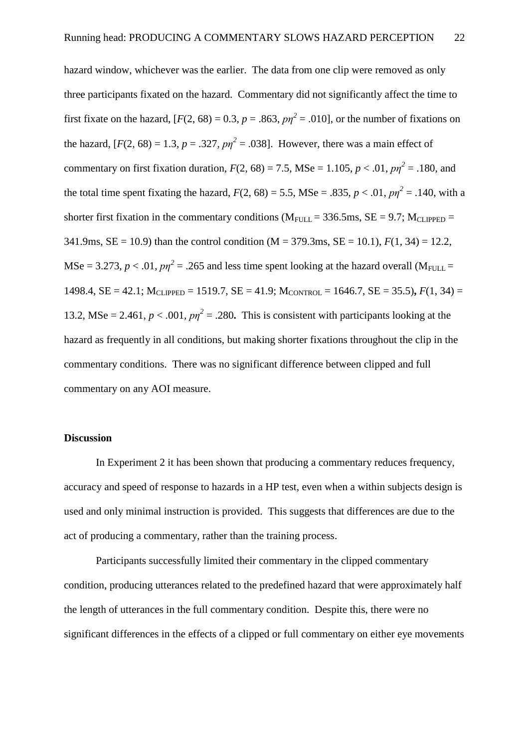hazard window, whichever was the earlier. The data from one clip were removed as only three participants fixated on the hazard. Commentary did not significantly affect the time to first fixate on the hazard,  $[F(2, 68) = 0.3, p = .863, pp^2 = .010]$ , or the number of fixations on the hazard,  $[F(2, 68) = 1.3, p = .327, pn^2 = .038]$ . However, there was a main effect of commentary on first fixation duration,  $F(2, 68) = 7.5$ , MSe = 1.105,  $p < .01$ ,  $p\eta^2 = .180$ , and the total time spent fixating the hazard,  $F(2, 68) = 5.5$ ,  $MSe = .835$ ,  $p < .01$ ,  $p\eta^2 = .140$ , with a shorter first fixation in the commentary conditions ( $M_{FULL} = 336.5$ ms,  $SE = 9.7$ ;  $M_{CLIPPED} =$ 341.9ms, SE = 10.9) than the control condition (M = 379.3ms, SE = 10.1), *F*(1, 34) = 12.2, MSe = 3.273,  $p < .01$ ,  $p\eta^2 = .265$  and less time spent looking at the hazard overall (M<sub>FULL</sub> = 1498.4,  $SE = 42.1$ ;  $M_{CI, IPPED} = 1519.7$ ,  $SE = 41.9$ ;  $M_{CONTROI} = 1646.7$ ,  $SE = 35.5$ ),  $F(1, 34) =$ 13.2, MSe = 2.461,  $p < .001$ ,  $p\eta^2 = .280$ . This is consistent with participants looking at the hazard as frequently in all conditions, but making shorter fixations throughout the clip in the commentary conditions. There was no significant difference between clipped and full commentary on any AOI measure.

## **Discussion**

In Experiment 2 it has been shown that producing a commentary reduces frequency, accuracy and speed of response to hazards in a HP test, even when a within subjects design is used and only minimal instruction is provided. This suggests that differences are due to the act of producing a commentary, rather than the training process.

Participants successfully limited their commentary in the clipped commentary condition, producing utterances related to the predefined hazard that were approximately half the length of utterances in the full commentary condition. Despite this, there were no significant differences in the effects of a clipped or full commentary on either eye movements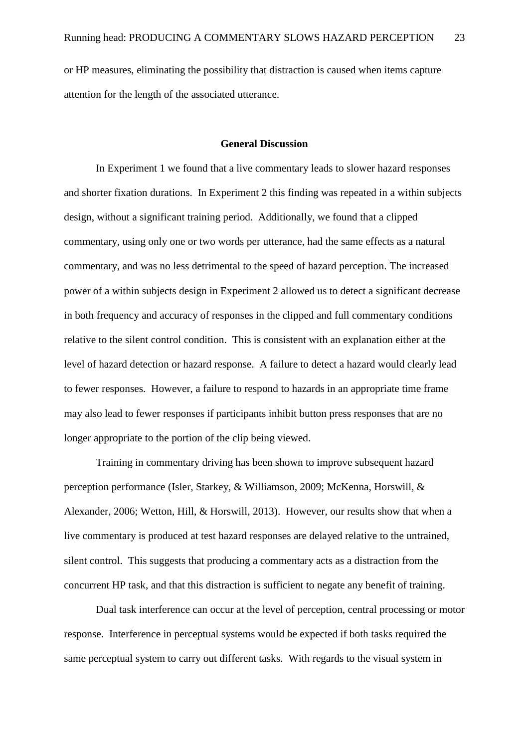or HP measures, eliminating the possibility that distraction is caused when items capture attention for the length of the associated utterance.

#### **General Discussion**

In Experiment 1 we found that a live commentary leads to slower hazard responses and shorter fixation durations. In Experiment 2 this finding was repeated in a within subjects design, without a significant training period. Additionally, we found that a clipped commentary, using only one or two words per utterance, had the same effects as a natural commentary, and was no less detrimental to the speed of hazard perception. The increased power of a within subjects design in Experiment 2 allowed us to detect a significant decrease in both frequency and accuracy of responses in the clipped and full commentary conditions relative to the silent control condition. This is consistent with an explanation either at the level of hazard detection or hazard response. A failure to detect a hazard would clearly lead to fewer responses. However, a failure to respond to hazards in an appropriate time frame may also lead to fewer responses if participants inhibit button press responses that are no longer appropriate to the portion of the clip being viewed.

Training in commentary driving has been shown to improve subsequent hazard perception performance (Isler, Starkey, & Williamson, 2009; McKenna, Horswill, & Alexander, 2006; Wetton, Hill, & Horswill, 2013). However, our results show that when a live commentary is produced at test hazard responses are delayed relative to the untrained, silent control. This suggests that producing a commentary acts as a distraction from the concurrent HP task, and that this distraction is sufficient to negate any benefit of training.

Dual task interference can occur at the level of perception, central processing or motor response. Interference in perceptual systems would be expected if both tasks required the same perceptual system to carry out different tasks. With regards to the visual system in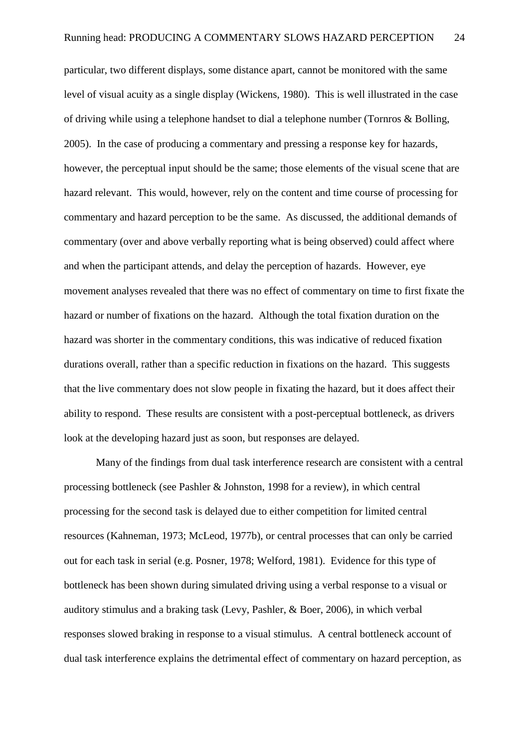particular, two different displays, some distance apart, cannot be monitored with the same level of visual acuity as a single display (Wickens, 1980). This is well illustrated in the case of driving while using a telephone handset to dial a telephone number (Tornros & Bolling, 2005). In the case of producing a commentary and pressing a response key for hazards, however, the perceptual input should be the same; those elements of the visual scene that are hazard relevant. This would, however, rely on the content and time course of processing for commentary and hazard perception to be the same. As discussed, the additional demands of commentary (over and above verbally reporting what is being observed) could affect where and when the participant attends, and delay the perception of hazards. However, eye movement analyses revealed that there was no effect of commentary on time to first fixate the hazard or number of fixations on the hazard. Although the total fixation duration on the hazard was shorter in the commentary conditions, this was indicative of reduced fixation durations overall, rather than a specific reduction in fixations on the hazard. This suggests that the live commentary does not slow people in fixating the hazard, but it does affect their ability to respond. These results are consistent with a post-perceptual bottleneck, as drivers look at the developing hazard just as soon, but responses are delayed.

Many of the findings from dual task interference research are consistent with a central processing bottleneck (see Pashler & Johnston, 1998 for a review), in which central processing for the second task is delayed due to either competition for limited central resources (Kahneman, 1973; McLeod, 1977b), or central processes that can only be carried out for each task in serial (e.g. Posner, 1978; Welford, 1981). Evidence for this type of bottleneck has been shown during simulated driving using a verbal response to a visual or auditory stimulus and a braking task (Levy, Pashler, & Boer, 2006), in which verbal responses slowed braking in response to a visual stimulus. A central bottleneck account of dual task interference explains the detrimental effect of commentary on hazard perception, as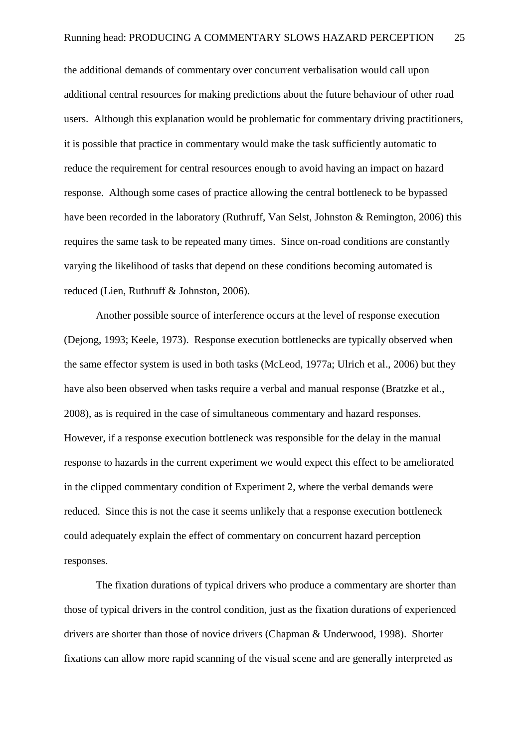the additional demands of commentary over concurrent verbalisation would call upon additional central resources for making predictions about the future behaviour of other road users. Although this explanation would be problematic for commentary driving practitioners, it is possible that practice in commentary would make the task sufficiently automatic to reduce the requirement for central resources enough to avoid having an impact on hazard response. Although some cases of practice allowing the central bottleneck to be bypassed have been recorded in the laboratory (Ruthruff, Van Selst, Johnston & Remington, 2006) this requires the same task to be repeated many times. Since on-road conditions are constantly varying the likelihood of tasks that depend on these conditions becoming automated is reduced (Lien, Ruthruff & Johnston, 2006).

Another possible source of interference occurs at the level of response execution (Dejong, 1993; Keele, 1973). Response execution bottlenecks are typically observed when the same effector system is used in both tasks (McLeod, 1977a; Ulrich et al., 2006) but they have also been observed when tasks require a verbal and manual response (Bratzke et al., 2008), as is required in the case of simultaneous commentary and hazard responses. However, if a response execution bottleneck was responsible for the delay in the manual response to hazards in the current experiment we would expect this effect to be ameliorated in the clipped commentary condition of Experiment 2, where the verbal demands were reduced. Since this is not the case it seems unlikely that a response execution bottleneck could adequately explain the effect of commentary on concurrent hazard perception responses.

The fixation durations of typical drivers who produce a commentary are shorter than those of typical drivers in the control condition, just as the fixation durations of experienced drivers are shorter than those of novice drivers (Chapman & Underwood, 1998). Shorter fixations can allow more rapid scanning of the visual scene and are generally interpreted as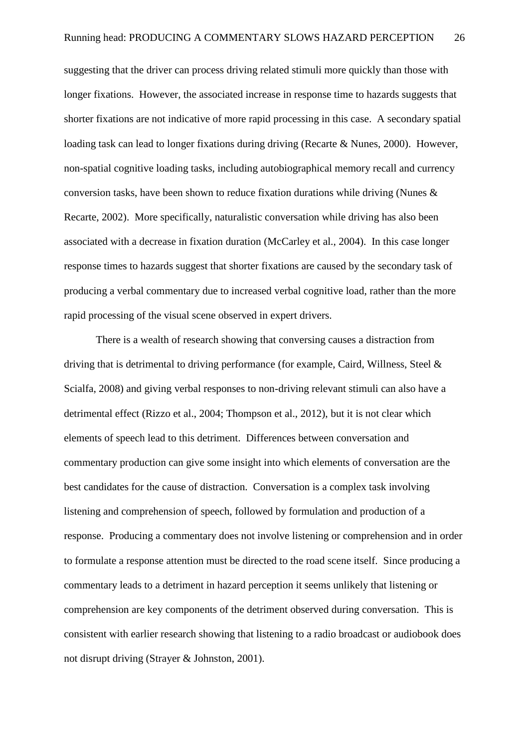suggesting that the driver can process driving related stimuli more quickly than those with longer fixations. However, the associated increase in response time to hazards suggests that shorter fixations are not indicative of more rapid processing in this case. A secondary spatial loading task can lead to longer fixations during driving (Recarte & Nunes, 2000). However, non-spatial cognitive loading tasks, including autobiographical memory recall and currency conversion tasks, have been shown to reduce fixation durations while driving (Nunes & Recarte, 2002). More specifically, naturalistic conversation while driving has also been associated with a decrease in fixation duration (McCarley et al., 2004). In this case longer response times to hazards suggest that shorter fixations are caused by the secondary task of producing a verbal commentary due to increased verbal cognitive load, rather than the more rapid processing of the visual scene observed in expert drivers.

There is a wealth of research showing that conversing causes a distraction from driving that is detrimental to driving performance (for example, Caird, Willness, Steel & Scialfa, 2008) and giving verbal responses to non-driving relevant stimuli can also have a detrimental effect (Rizzo et al., 2004; Thompson et al., 2012), but it is not clear which elements of speech lead to this detriment. Differences between conversation and commentary production can give some insight into which elements of conversation are the best candidates for the cause of distraction. Conversation is a complex task involving listening and comprehension of speech, followed by formulation and production of a response. Producing a commentary does not involve listening or comprehension and in order to formulate a response attention must be directed to the road scene itself. Since producing a commentary leads to a detriment in hazard perception it seems unlikely that listening or comprehension are key components of the detriment observed during conversation. This is consistent with earlier research showing that listening to a radio broadcast or audiobook does not disrupt driving (Strayer & Johnston, 2001).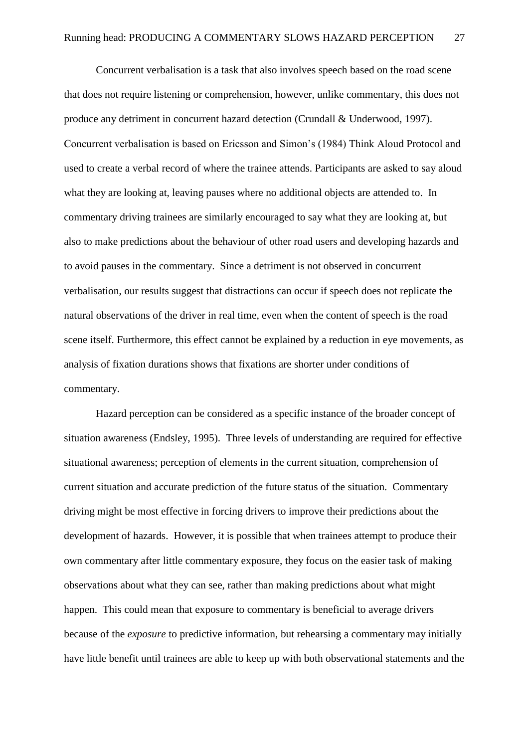Concurrent verbalisation is a task that also involves speech based on the road scene that does not require listening or comprehension, however, unlike commentary, this does not produce any detriment in concurrent hazard detection (Crundall & Underwood, 1997). Concurrent verbalisation is based on Ericsson and Simon's (1984) Think Aloud Protocol and used to create a verbal record of where the trainee attends. Participants are asked to say aloud what they are looking at, leaving pauses where no additional objects are attended to. In commentary driving trainees are similarly encouraged to say what they are looking at, but also to make predictions about the behaviour of other road users and developing hazards and to avoid pauses in the commentary. Since a detriment is not observed in concurrent verbalisation, our results suggest that distractions can occur if speech does not replicate the natural observations of the driver in real time, even when the content of speech is the road scene itself. Furthermore, this effect cannot be explained by a reduction in eye movements, as analysis of fixation durations shows that fixations are shorter under conditions of commentary.

Hazard perception can be considered as a specific instance of the broader concept of situation awareness (Endsley, 1995). Three levels of understanding are required for effective situational awareness; perception of elements in the current situation, comprehension of current situation and accurate prediction of the future status of the situation. Commentary driving might be most effective in forcing drivers to improve their predictions about the development of hazards. However, it is possible that when trainees attempt to produce their own commentary after little commentary exposure, they focus on the easier task of making observations about what they can see, rather than making predictions about what might happen. This could mean that exposure to commentary is beneficial to average drivers because of the *exposure* to predictive information, but rehearsing a commentary may initially have little benefit until trainees are able to keep up with both observational statements and the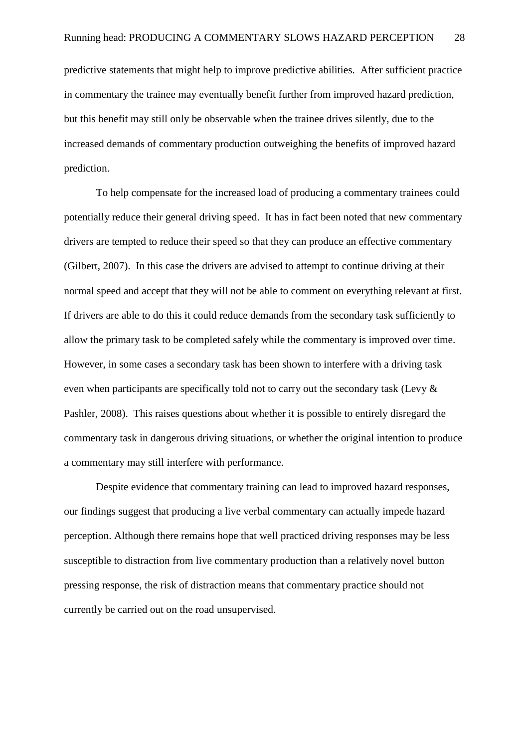predictive statements that might help to improve predictive abilities. After sufficient practice in commentary the trainee may eventually benefit further from improved hazard prediction, but this benefit may still only be observable when the trainee drives silently, due to the increased demands of commentary production outweighing the benefits of improved hazard prediction.

To help compensate for the increased load of producing a commentary trainees could potentially reduce their general driving speed. It has in fact been noted that new commentary drivers are tempted to reduce their speed so that they can produce an effective commentary (Gilbert, 2007). In this case the drivers are advised to attempt to continue driving at their normal speed and accept that they will not be able to comment on everything relevant at first. If drivers are able to do this it could reduce demands from the secondary task sufficiently to allow the primary task to be completed safely while the commentary is improved over time. However, in some cases a secondary task has been shown to interfere with a driving task even when participants are specifically told not to carry out the secondary task (Levy & Pashler, 2008). This raises questions about whether it is possible to entirely disregard the commentary task in dangerous driving situations, or whether the original intention to produce a commentary may still interfere with performance.

Despite evidence that commentary training can lead to improved hazard responses, our findings suggest that producing a live verbal commentary can actually impede hazard perception. Although there remains hope that well practiced driving responses may be less susceptible to distraction from live commentary production than a relatively novel button pressing response, the risk of distraction means that commentary practice should not currently be carried out on the road unsupervised.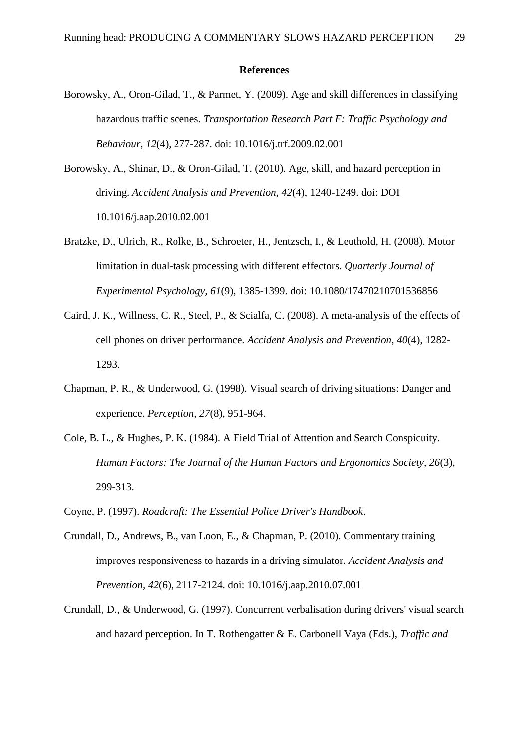#### **References**

- Borowsky, A., Oron-Gilad, T., & Parmet, Y. (2009). Age and skill differences in classifying hazardous traffic scenes. *Transportation Research Part F: Traffic Psychology and Behaviour, 12*(4), 277-287. doi: 10.1016/j.trf.2009.02.001
- Borowsky, A., Shinar, D., & Oron-Gilad, T. (2010). Age, skill, and hazard perception in driving. *Accident Analysis and Prevention, 42*(4), 1240-1249. doi: DOI 10.1016/j.aap.2010.02.001
- Bratzke, D., Ulrich, R., Rolke, B., Schroeter, H., Jentzsch, I., & Leuthold, H. (2008). Motor limitation in dual-task processing with different effectors. *Quarterly Journal of Experimental Psychology, 61*(9), 1385-1399. doi: 10.1080/17470210701536856
- Caird, J. K., Willness, C. R., Steel, P., & Scialfa, C. (2008). A meta-analysis of the effects of cell phones on driver performance. *Accident Analysis and Prevention, 40*(4), 1282- 1293.
- Chapman, P. R., & Underwood, G. (1998). Visual search of driving situations: Danger and experience. *Perception, 27*(8), 951-964.
- Cole, B. L., & Hughes, P. K. (1984). A Field Trial of Attention and Search Conspicuity. *Human Factors: The Journal of the Human Factors and Ergonomics Society, 26*(3), 299-313.
- Coyne, P. (1997). *Roadcraft: The Essential Police Driver's Handbook*.
- Crundall, D., Andrews, B., van Loon, E., & Chapman, P. (2010). Commentary training improves responsiveness to hazards in a driving simulator. *Accident Analysis and Prevention, 42*(6), 2117-2124. doi: 10.1016/j.aap.2010.07.001
- Crundall, D., & Underwood, G. (1997). Concurrent verbalisation during drivers' visual search and hazard perception. In T. Rothengatter & E. Carbonell Vaya (Eds.), *Traffic and*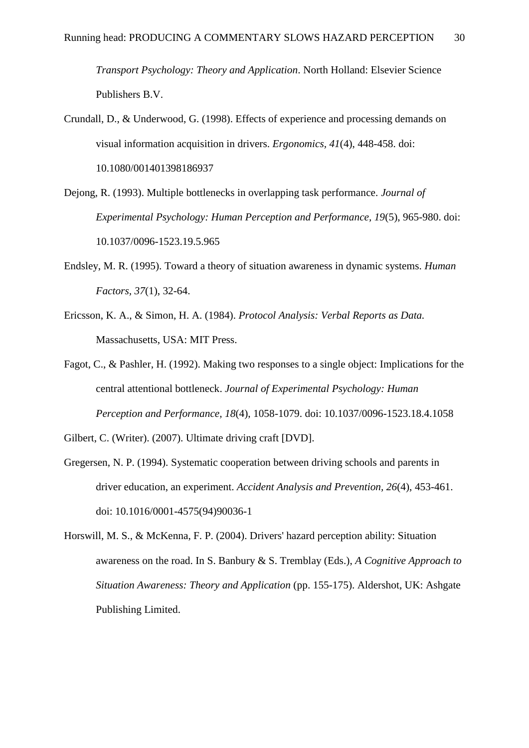*Transport Psychology: Theory and Application*. North Holland: Elsevier Science Publishers B.V.

- Crundall, D., & Underwood, G. (1998). Effects of experience and processing demands on visual information acquisition in drivers. *Ergonomics, 41*(4), 448-458. doi: 10.1080/001401398186937
- Dejong, R. (1993). Multiple bottlenecks in overlapping task performance. *Journal of Experimental Psychology: Human Perception and Performance, 19*(5), 965-980. doi: 10.1037/0096-1523.19.5.965
- Endsley, M. R. (1995). Toward a theory of situation awareness in dynamic systems. *Human Factors, 37*(1), 32-64.
- Ericsson, K. A., & Simon, H. A. (1984). *Protocol Analysis: Verbal Reports as Data.* Massachusetts, USA: MIT Press.
- Fagot, C., & Pashler, H. (1992). Making two responses to a single object: Implications for the central attentional bottleneck. *Journal of Experimental Psychology: Human Perception and Performance, 18*(4), 1058-1079. doi: 10.1037/0096-1523.18.4.1058

Gilbert, C. (Writer). (2007). Ultimate driving craft [DVD].

- Gregersen, N. P. (1994). Systematic cooperation between driving schools and parents in driver education, an experiment. *Accident Analysis and Prevention, 26*(4), 453-461. doi: 10.1016/0001-4575(94)90036-1
- Horswill, M. S., & McKenna, F. P. (2004). Drivers' hazard perception ability: Situation awareness on the road. In S. Banbury & S. Tremblay (Eds.), *A Cognitive Approach to Situation Awareness: Theory and Application* (pp. 155-175). Aldershot, UK: Ashgate Publishing Limited.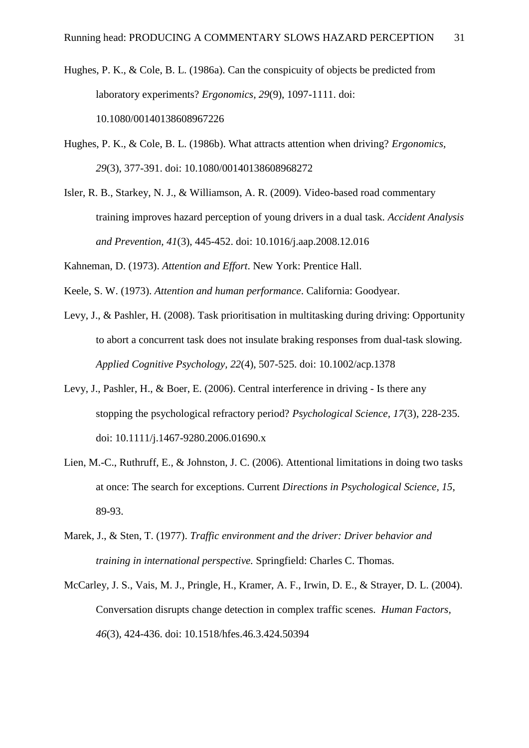Hughes, P. K., & Cole, B. L. (1986a). Can the conspicuity of objects be predicted from laboratory experiments? *Ergonomics, 29*(9), 1097-1111. doi: 10.1080/00140138608967226

Hughes, P. K., & Cole, B. L. (1986b). What attracts attention when driving? *Ergonomics, 29*(3), 377-391. doi: 10.1080/00140138608968272

Isler, R. B., Starkey, N. J., & Williamson, A. R. (2009). Video-based road commentary training improves hazard perception of young drivers in a dual task. *Accident Analysis and Prevention, 41*(3), 445-452. doi: 10.1016/j.aap.2008.12.016

Kahneman, D. (1973). *Attention and Effort*. New York: Prentice Hall.

Keele, S. W. (1973). *Attention and human performance*. California: Goodyear.

Levy, J., & Pashler, H. (2008). Task prioritisation in multitasking during driving: Opportunity to abort a concurrent task does not insulate braking responses from dual-task slowing. *Applied Cognitive Psychology, 22*(4), 507-525. doi: 10.1002/acp.1378

- Levy, J., Pashler, H., & Boer, E. (2006). Central interference in driving Is there any stopping the psychological refractory period? *Psychological Science, 17*(3), 228-235. doi: 10.1111/j.1467-9280.2006.01690.x
- Lien, M.-C., Ruthruff, E., & Johnston, J. C. (2006). Attentional limitations in doing two tasks at once: The search for exceptions. Current *Directions in Psychological Science, 15*, 89-93.
- Marek, J., & Sten, T. (1977). *Traffic environment and the driver: Driver behavior and training in international perspective.* Springfield: Charles C. Thomas.
- McCarley, J. S., Vais, M. J., Pringle, H., Kramer, A. F., Irwin, D. E., & Strayer, D. L. (2004). Conversation disrupts change detection in complex traffic scenes. *Human Factors, 46*(3), 424-436. doi: 10.1518/hfes.46.3.424.50394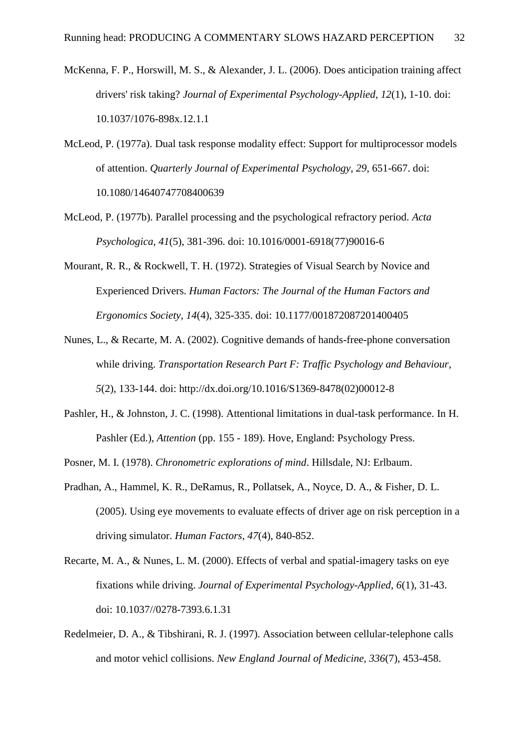- McKenna, F. P., Horswill, M. S., & Alexander, J. L. (2006). Does anticipation training affect drivers' risk taking? *Journal of Experimental Psychology-Applied, 12*(1), 1-10. doi: 10.1037/1076-898x.12.1.1
- McLeod, P. (1977a). Dual task response modality effect: Support for multiprocessor models of attention. *Quarterly Journal of Experimental Psychology, 29*, 651-667. doi: 10.1080/14640747708400639
- McLeod, P. (1977b). Parallel processing and the psychological refractory period. *Acta Psychologica, 41*(5), 381-396. doi: 10.1016/0001-6918(77)90016-6
- Mourant, R. R., & Rockwell, T. H. (1972). Strategies of Visual Search by Novice and Experienced Drivers. *Human Factors: The Journal of the Human Factors and Ergonomics Society, 14*(4), 325-335. doi: 10.1177/001872087201400405
- Nunes, L., & Recarte, M. A. (2002). Cognitive demands of hands-free-phone conversation while driving. *Transportation Research Part F: Traffic Psychology and Behaviour, 5*(2), 133-144. doi: http://dx.doi.org/10.1016/S1369-8478(02)00012-8
- Pashler, H., & Johnston, J. C. (1998). Attentional limitations in dual-task performance. In H. Pashler (Ed.), *Attention* (pp. 155 - 189). Hove, England: Psychology Press.
- Posner, M. I. (1978). *Chronometric explorations of mind*. Hillsdale, NJ: Erlbaum.
- Pradhan, A., Hammel, K. R., DeRamus, R., Pollatsek, A., Noyce, D. A., & Fisher, D. L. (2005). Using eye movements to evaluate effects of driver age on risk perception in a driving simulator. *Human Factors, 47*(4), 840-852.
- Recarte, M. A., & Nunes, L. M. (2000). Effects of verbal and spatial-imagery tasks on eye fixations while driving. *Journal of Experimental Psychology-Applied, 6*(1), 31-43. doi: 10.1037//0278-7393.6.1.31
- Redelmeier, D. A., & Tibshirani, R. J. (1997). Association between cellular-telephone calls and motor vehicl collisions. *New England Journal of Medicine, 336*(7), 453-458.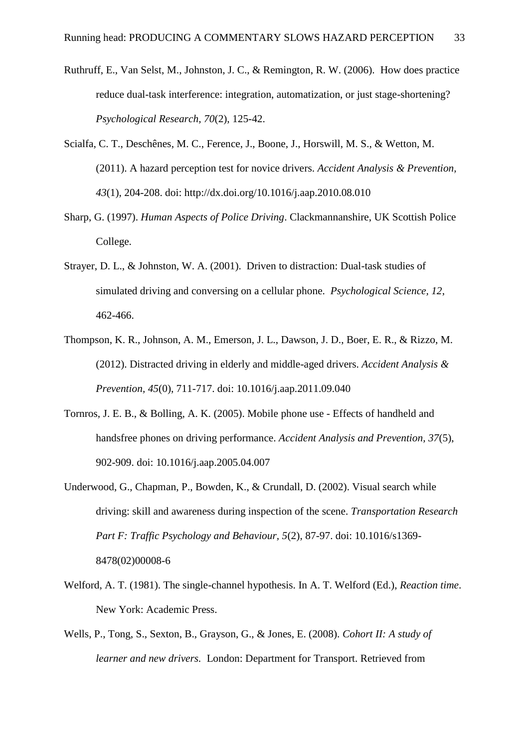- Ruthruff, E., Van Selst, M., Johnston, J. C., & Remington, R. W. (2006). How does practice reduce dual-task interference: integration, automatization, or just stage-shortening? *Psychological Research, 70*(2), 125-42.
- Scialfa, C. T., Deschênes, M. C., Ference, J., Boone, J., Horswill, M. S., & Wetton, M. (2011). A hazard perception test for novice drivers. *Accident Analysis & Prevention, 43*(1), 204-208. doi: http://dx.doi.org/10.1016/j.aap.2010.08.010
- Sharp, G. (1997). *Human Aspects of Police Driving*. Clackmannanshire, UK Scottish Police College.
- Strayer, D. L., & Johnston, W. A. (2001). Driven to distraction: Dual-task studies of simulated driving and conversing on a cellular phone. *Psychological Science, 12*, 462-466.
- Thompson, K. R., Johnson, A. M., Emerson, J. L., Dawson, J. D., Boer, E. R., & Rizzo, M. (2012). Distracted driving in elderly and middle-aged drivers. *Accident Analysis & Prevention, 45*(0), 711-717. doi: 10.1016/j.aap.2011.09.040
- Tornros, J. E. B., & Bolling, A. K. (2005). Mobile phone use Effects of handheld and handsfree phones on driving performance. *Accident Analysis and Prevention, 37*(5), 902-909. doi: 10.1016/j.aap.2005.04.007
- Underwood, G., Chapman, P., Bowden, K., & Crundall, D. (2002). Visual search while driving: skill and awareness during inspection of the scene. *Transportation Research Part F: Traffic Psychology and Behaviour, 5*(2), 87-97. doi: 10.1016/s1369- 8478(02)00008-6
- Welford, A. T. (1981). The single-channel hypothesis. In A. T. Welford (Ed.), *Reaction time*. New York: Academic Press.
- Wells, P., Tong, S., Sexton, B., Grayson, G., & Jones, E. (2008). *Cohort II: A study of learner and new drivers.* London: Department for Transport. Retrieved from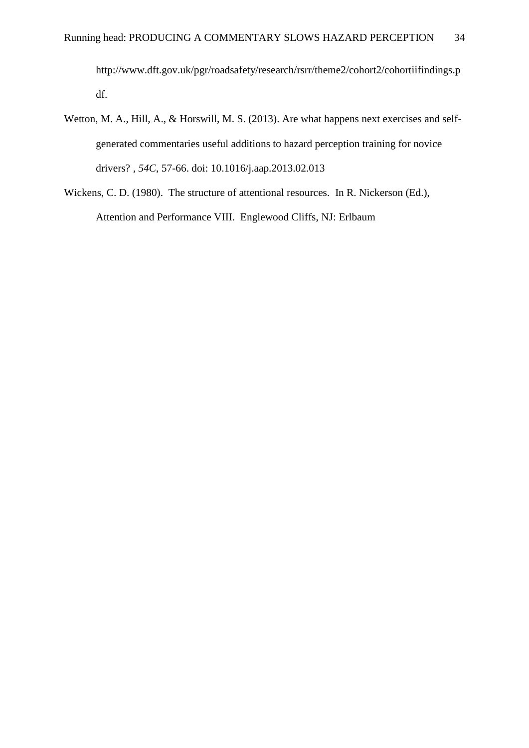http://www.dft.gov.uk/pgr/roadsafety/research/rsrr/theme2/cohort2/cohortiifindings.p df.

- Wetton, M. A., Hill, A., & Horswill, M. S. (2013). Are what happens next exercises and selfgenerated commentaries useful additions to hazard perception training for novice drivers? *, 54C*, 57-66. doi: 10.1016/j.aap.2013.02.013
- Wickens, C. D. (1980). The structure of attentional resources. In R. Nickerson (Ed.), Attention and Performance VIII. Englewood Cliffs, NJ: Erlbaum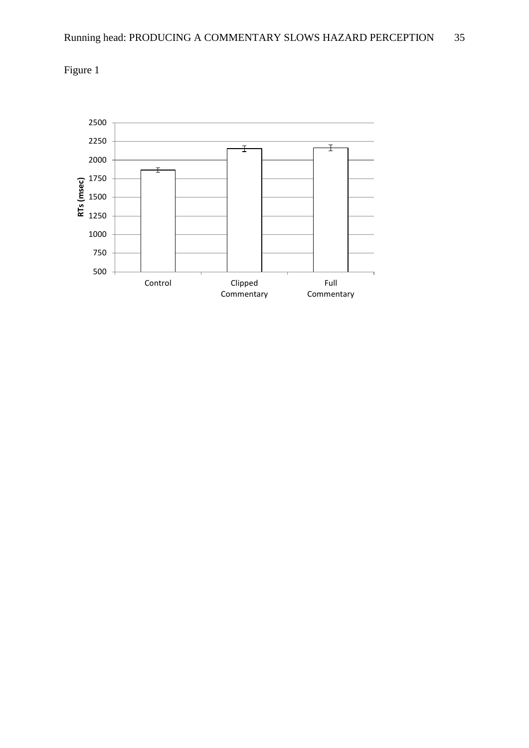

Figure 1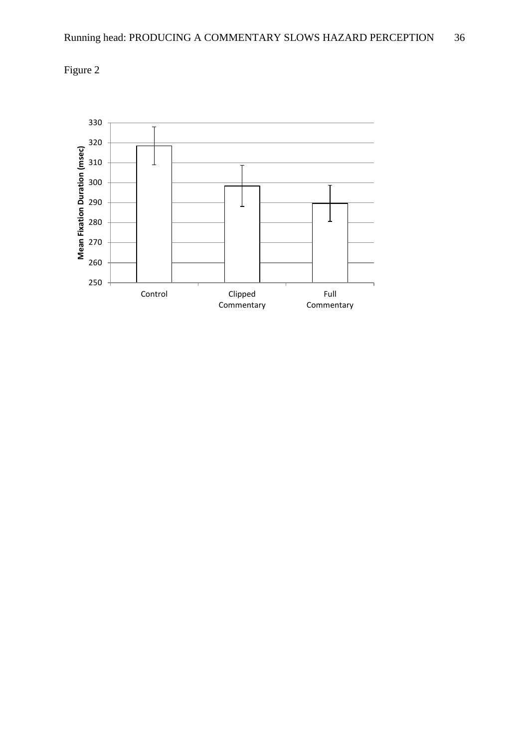

Figure 2